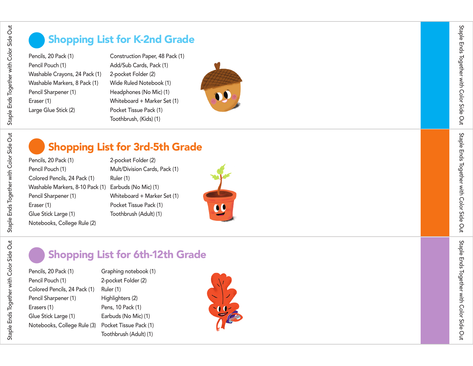Staple Ends Together with Color Side Out

Staple Ends Together with Color Side Out

Staple Ends Together with Color Side Out

Staple Ends Together with Color Side Out

## Shopping List for K-2nd Grade

Pencils, 20 Pack (1) Pencil Pouch (1) Washable Crayons, 24 Pack (1) Washable Markers, 8 Pack (1) Pencil Sharpener (1) Eraser (1) Large Glue Stick (2)

Construction Paper, 48 Pack (1) Add/Sub Cards, Pack (1) 2-pocket Folder (2) Wide Ruled Notebook (1) Headphones (No Mic) (1) Whiteboard + Marker Set (1) Pocket Tissue Pack (1) Toothbrush, (Kids) (1)



## Shopping List for 3rd-5th Grade

2-pocket Folder (2)

Pencils, 20 Pack (1) Pencil Pouch (1) Colored Pencils, 24 Pack (1) Washable Markers, 8-10 Pack (1) Earbuds (No Mic) (1) Pencil Sharpener (1) Eraser (1) Glue Stick Large (1) Notebooks, College Rule (2)

Mult/Division Cards, Pack (1) Ruler (1) Whiteboard + Marker Set (1) Pocket Tissue Pack (1) Toothbrush (Adult) (1)



# Shopping List for 6th-12th Grade

Pencils, 20 Pack (1) Pencil Pouch (1) Colored Pencils, 24 Pack (1) Pencil Sharpener (1) Erasers (1) Glue Stick Large (1) Notebooks, College Rule (3)

Graphing notebook (1) 2-pocket Folder (2) Ruler (1) Highlighters (2) Pens, 10 Pack (1) Earbuds (No Mic) (1) Pocket Tissue Pack (1) Toothbrush (Adult) (1)